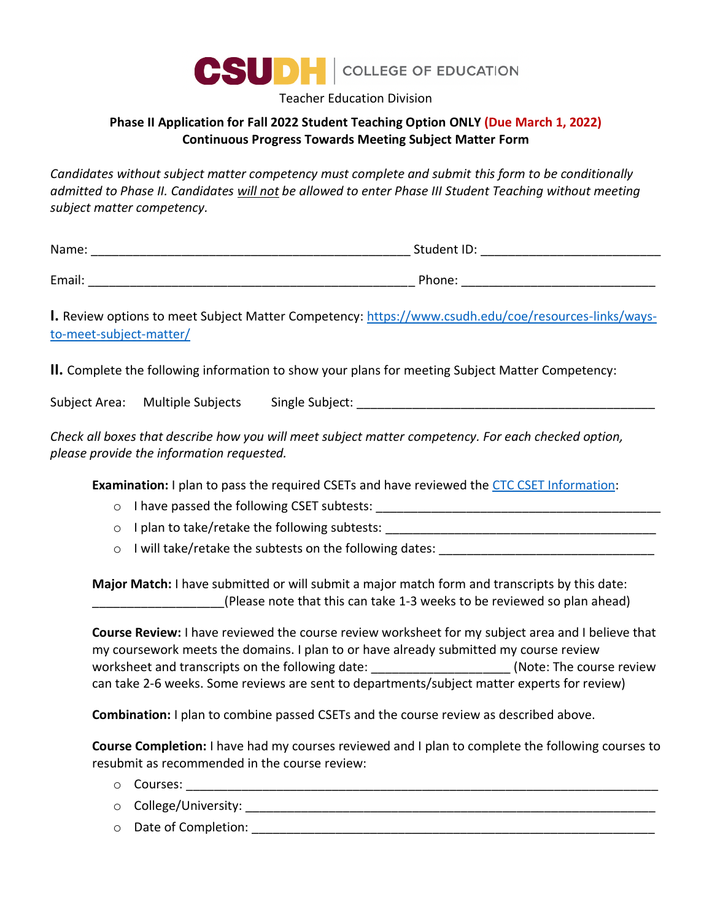

Teacher Education Division

## **Phase II Application for Fall 2022 Student Teaching Option ONLY (Due March 1, 2022) Continuous Progress Towards Meeting Subject Matter Form**

*Candidates without subject matter competency must complete and submit this form to be conditionally admitted to Phase II. Candidates will not be allowed to enter Phase III Student Teaching without meeting subject matter competency.*

| I. Review options to meet Subject Matter Competency: https://www.csudh.edu/coe/resources-links/ways-<br>to-meet-subject-matter/                                                                                                                                                                                                                                                              |
|----------------------------------------------------------------------------------------------------------------------------------------------------------------------------------------------------------------------------------------------------------------------------------------------------------------------------------------------------------------------------------------------|
| II. Complete the following information to show your plans for meeting Subject Matter Competency:                                                                                                                                                                                                                                                                                             |
| Subject Area: □ Multiple Subjects □ Single Subject: ____________________________                                                                                                                                                                                                                                                                                                             |
| Check all boxes that describe how you will meet subject matter competency. For each checked option,<br>please provide the information requested.                                                                                                                                                                                                                                             |
| <b>Examination:</b> I plan to pass the required CSETs and have reviewed the CTC CSET Information:                                                                                                                                                                                                                                                                                            |
| $\circ$                                                                                                                                                                                                                                                                                                                                                                                      |
| $\circ$                                                                                                                                                                                                                                                                                                                                                                                      |
| I will take/retake the subtests on the following dates:<br>$\circ$                                                                                                                                                                                                                                                                                                                           |
| Major Match: I have submitted or will submit a major match form and transcripts by this date:<br>(Please note that this can take 1-3 weeks to be reviewed so plan ahead)                                                                                                                                                                                                                     |
| Course Review: I have reviewed the course review worksheet for my subject area and I believe that<br>my coursework meets the domains. I plan to or have already submitted my course review<br>worksheet and transcripts on the following date: ______________________(Note: The course review<br>can take 2-6 weeks. Some reviews are sent to departments/subject matter experts for review) |
| <b>Combination:</b> I plan to combine passed CSETs and the course review as described above.                                                                                                                                                                                                                                                                                                 |
| <b>Course Completion:</b> I have had my courses reviewed and I plan to complete the following courses to<br>resubmit as recommended in the course review:<br>Courses:<br>$\circ$                                                                                                                                                                                                             |

- o College/University: \_\_\_\_\_\_\_\_\_\_\_\_\_\_\_\_\_\_\_\_\_\_\_\_\_\_\_\_\_\_\_\_\_\_\_\_\_\_\_\_\_\_\_\_\_\_\_\_\_\_\_\_\_\_\_\_\_\_\_
- o Date of Completion: **Example 1**